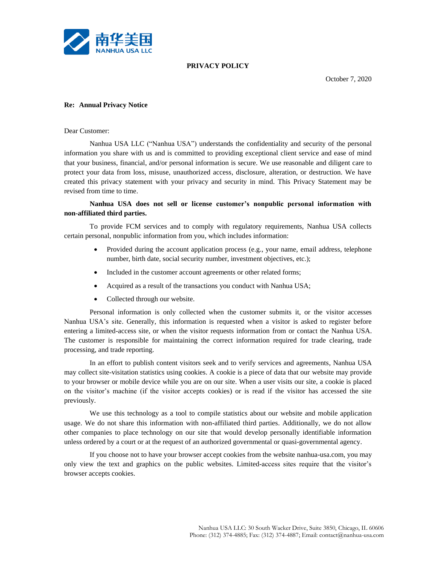

#### **PRIVACY POLICY**

October 7, 2020

#### **Re: Annual Privacy Notice**

Dear Customer:

Nanhua USA LLC ("Nanhua USA") understands the confidentiality and security of the personal information you share with us and is committed to providing exceptional client service and ease of mind that your business, financial, and/or personal information is secure. We use reasonable and diligent care to protect your data from loss, misuse, unauthorized access, disclosure, alteration, or destruction. We have created this privacy statement with your privacy and security in mind. This Privacy Statement may be revised from time to time.

## **Nanhua USA does not sell or license customer's nonpublic personal information with non-affiliated third parties.**

To provide FCM services and to comply with regulatory requirements, Nanhua USA collects certain personal, nonpublic information from you, which includes information:

- Provided during the account application process (e.g., your name, email address, telephone number, birth date, social security number, investment objectives, etc.);
- Included in the customer account agreements or other related forms;
- Acquired as a result of the transactions you conduct with Nanhua USA;
- Collected through our website.

Personal information is only collected when the customer submits it, or the visitor accesses Nanhua USA's site. Generally, this information is requested when a visitor is asked to register before entering a limited-access site, or when the visitor requests information from or contact the Nanhua USA. The customer is responsible for maintaining the correct information required for trade clearing, trade processing, and trade reporting.

In an effort to publish content visitors seek and to verify services and agreements, Nanhua USA may collect site-visitation statistics using cookies. A cookie is a piece of data that our website may provide to your browser or mobile device while you are on our site. When a user visits our site, a cookie is placed on the visitor's machine (if the visitor accepts cookies) or is read if the visitor has accessed the site previously.

We use this technology as a tool to compile statistics about our website and mobile application usage. We do not share this information with non-affiliated third parties. Additionally, we do not allow other companies to place technology on our site that would develop personally identifiable information unless ordered by a court or at the request of an authorized governmental or quasi-governmental agency.

If you choose not to have your browser accept cookies from the website nanhua-usa.com, you may only view the text and graphics on the public websites. Limited-access sites require that the visitor's browser accepts cookies.